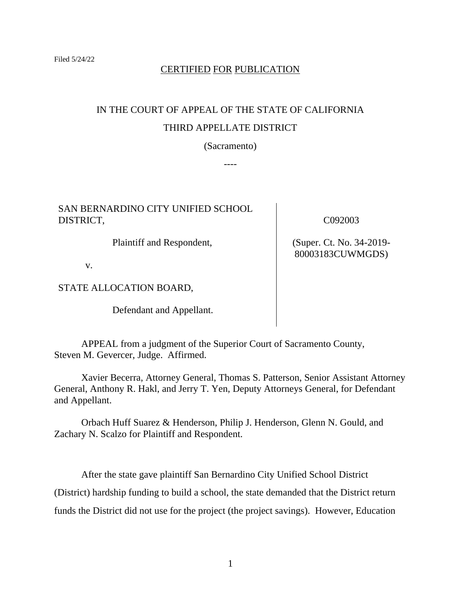## CERTIFIED FOR PUBLICATION

# IN THE COURT OF APPEAL OF THE STATE OF CALIFORNIA THIRD APPELLATE DISTRICT

(Sacramento)

----

## SAN BERNARDINO CITY UNIFIED SCHOOL DISTRICT,

Plaintiff and Respondent,

v.

STATE ALLOCATION BOARD,

Defendant and Appellant.

C092003

(Super. Ct. No. 34-2019- 80003183CUWMGDS)

APPEAL from a judgment of the Superior Court of Sacramento County, Steven M. Gevercer, Judge. Affirmed.

Xavier Becerra, Attorney General, Thomas S. Patterson, Senior Assistant Attorney General, Anthony R. Hakl, and Jerry T. Yen, Deputy Attorneys General, for Defendant and Appellant.

Orbach Huff Suarez & Henderson, Philip J. Henderson, Glenn N. Gould, and Zachary N. Scalzo for Plaintiff and Respondent.

After the state gave plaintiff San Bernardino City Unified School District (District) hardship funding to build a school, the state demanded that the District return funds the District did not use for the project (the project savings). However, Education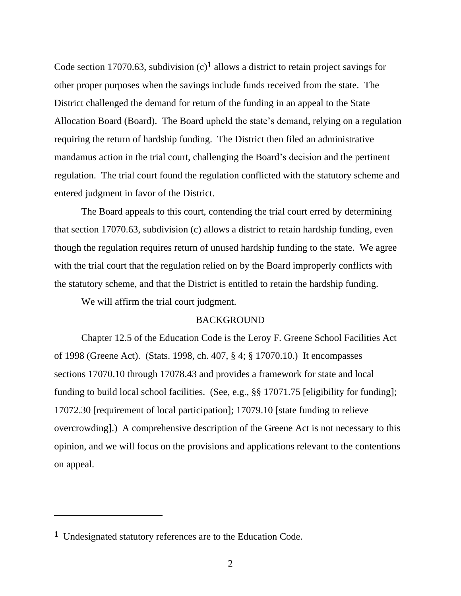Code section 17070.63, subdivision (c)**1** allows a district to retain project savings for other proper purposes when the savings include funds received from the state. The District challenged the demand for return of the funding in an appeal to the State Allocation Board (Board). The Board upheld the state's demand, relying on a regulation requiring the return of hardship funding. The District then filed an administrative mandamus action in the trial court, challenging the Board's decision and the pertinent regulation. The trial court found the regulation conflicted with the statutory scheme and entered judgment in favor of the District.

The Board appeals to this court, contending the trial court erred by determining that section 17070.63, subdivision (c) allows a district to retain hardship funding, even though the regulation requires return of unused hardship funding to the state. We agree with the trial court that the regulation relied on by the Board improperly conflicts with the statutory scheme, and that the District is entitled to retain the hardship funding.

We will affirm the trial court judgment.

### **BACKGROUND**

Chapter 12.5 of the Education Code is the Leroy F. Greene School Facilities Act of 1998 (Greene Act). (Stats. 1998, ch. 407, § 4; § 17070.10.) It encompasses sections 17070.10 through 17078.43 and provides a framework for state and local funding to build local school facilities. (See, e.g., §§ 17071.75 [eligibility for funding]; 17072.30 [requirement of local participation]; 17079.10 [state funding to relieve overcrowding].) A comprehensive description of the Greene Act is not necessary to this opinion, and we will focus on the provisions and applications relevant to the contentions on appeal.

**<sup>1</sup>** Undesignated statutory references are to the Education Code.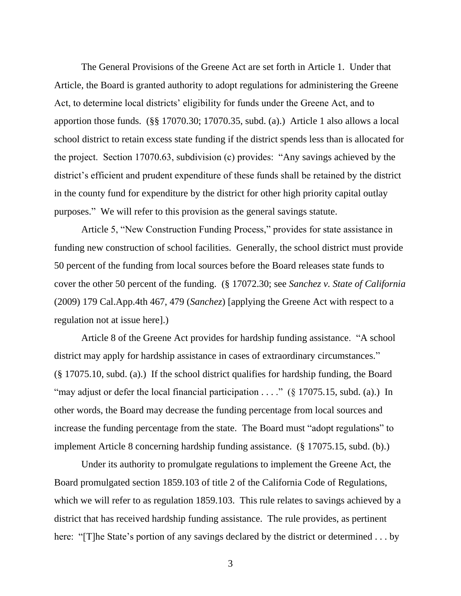The General Provisions of the Greene Act are set forth in Article 1. Under that Article, the Board is granted authority to adopt regulations for administering the Greene Act, to determine local districts' eligibility for funds under the Greene Act, and to apportion those funds. (§§ 17070.30; 17070.35, subd. (a).) Article 1 also allows a local school district to retain excess state funding if the district spends less than is allocated for the project. Section 17070.63, subdivision (c) provides: "Any savings achieved by the district's efficient and prudent expenditure of these funds shall be retained by the district in the county fund for expenditure by the district for other high priority capital outlay purposes." We will refer to this provision as the general savings statute.

Article 5, "New Construction Funding Process," provides for state assistance in funding new construction of school facilities. Generally, the school district must provide 50 percent of the funding from local sources before the Board releases state funds to cover the other 50 percent of the funding. (§ 17072.30; see *Sanchez v. State of California* (2009) 179 Cal.App.4th 467, 479 (*Sanchez*) [applying the Greene Act with respect to a regulation not at issue here].)

Article 8 of the Greene Act provides for hardship funding assistance. "A school district may apply for hardship assistance in cases of extraordinary circumstances." (§ 17075.10, subd. (a).) If the school district qualifies for hardship funding, the Board "may adjust or defer the local financial participation . . . ." (§ 17075.15, subd. (a).) In other words, the Board may decrease the funding percentage from local sources and increase the funding percentage from the state. The Board must "adopt regulations" to implement Article 8 concerning hardship funding assistance. (§ 17075.15, subd. (b).)

Under its authority to promulgate regulations to implement the Greene Act, the Board promulgated section 1859.103 of title 2 of the California Code of Regulations, which we will refer to as regulation 1859.103. This rule relates to savings achieved by a district that has received hardship funding assistance. The rule provides, as pertinent here: "[T]he State's portion of any savings declared by the district or determined . . . by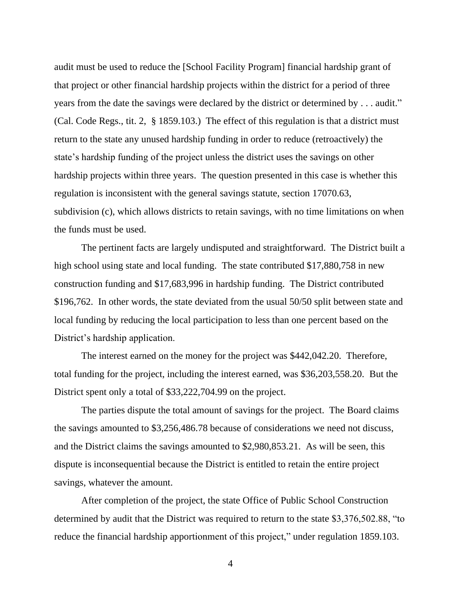audit must be used to reduce the [School Facility Program] financial hardship grant of that project or other financial hardship projects within the district for a period of three years from the date the savings were declared by the district or determined by . . . audit." (Cal. Code Regs., tit. 2, § 1859.103.) The effect of this regulation is that a district must return to the state any unused hardship funding in order to reduce (retroactively) the state's hardship funding of the project unless the district uses the savings on other hardship projects within three years. The question presented in this case is whether this regulation is inconsistent with the general savings statute, section 17070.63, subdivision (c), which allows districts to retain savings, with no time limitations on when the funds must be used.

The pertinent facts are largely undisputed and straightforward. The District built a high school using state and local funding. The state contributed \$17,880,758 in new construction funding and \$17,683,996 in hardship funding. The District contributed \$196,762. In other words, the state deviated from the usual 50/50 split between state and local funding by reducing the local participation to less than one percent based on the District's hardship application.

The interest earned on the money for the project was \$442,042.20. Therefore, total funding for the project, including the interest earned, was \$36,203,558.20. But the District spent only a total of \$33,222,704.99 on the project.

The parties dispute the total amount of savings for the project. The Board claims the savings amounted to \$3,256,486.78 because of considerations we need not discuss, and the District claims the savings amounted to \$2,980,853.21. As will be seen, this dispute is inconsequential because the District is entitled to retain the entire project savings, whatever the amount.

After completion of the project, the state Office of Public School Construction determined by audit that the District was required to return to the state \$3,376,502.88, "to reduce the financial hardship apportionment of this project," under regulation 1859.103.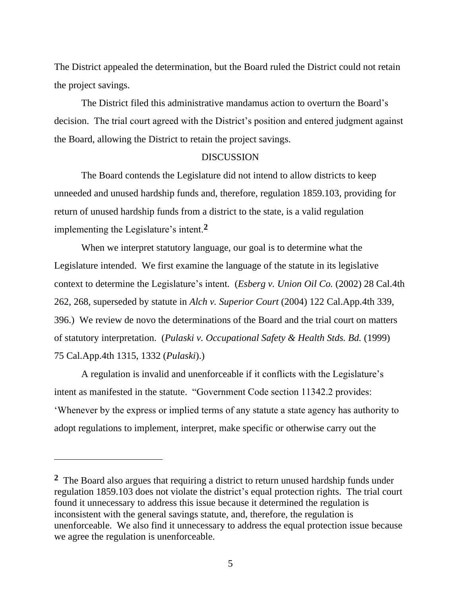The District appealed the determination, but the Board ruled the District could not retain the project savings.

The District filed this administrative mandamus action to overturn the Board's decision. The trial court agreed with the District's position and entered judgment against the Board, allowing the District to retain the project savings.

#### **DISCUSSION**

The Board contends the Legislature did not intend to allow districts to keep unneeded and unused hardship funds and, therefore, regulation 1859.103, providing for return of unused hardship funds from a district to the state, is a valid regulation implementing the Legislature's intent.**2**

When we interpret statutory language, our goal is to determine what the Legislature intended. We first examine the language of the statute in its legislative context to determine the Legislature's intent. (*Esberg v. Union Oil Co.* (2002) 28 Cal.4th 262, 268, superseded by statute in *Alch v. Superior Court* (2004) 122 Cal.App.4th 339, 396.) We review de novo the determinations of the Board and the trial court on matters of statutory interpretation. (*Pulaski v. Occupational Safety & Health Stds. Bd.* (1999) 75 Cal.App.4th 1315, 1332 (*Pulaski*).)

A regulation is invalid and unenforceable if it conflicts with the Legislature's intent as manifested in the statute. "Government Code section 11342.2 provides: 'Whenever by the express or implied terms of any statute a state agency has authority to adopt regulations to implement, interpret, make specific or otherwise carry out the

**<sup>2</sup>** The Board also argues that requiring a district to return unused hardship funds under regulation 1859.103 does not violate the district's equal protection rights. The trial court found it unnecessary to address this issue because it determined the regulation is inconsistent with the general savings statute, and, therefore, the regulation is unenforceable. We also find it unnecessary to address the equal protection issue because we agree the regulation is unenforceable.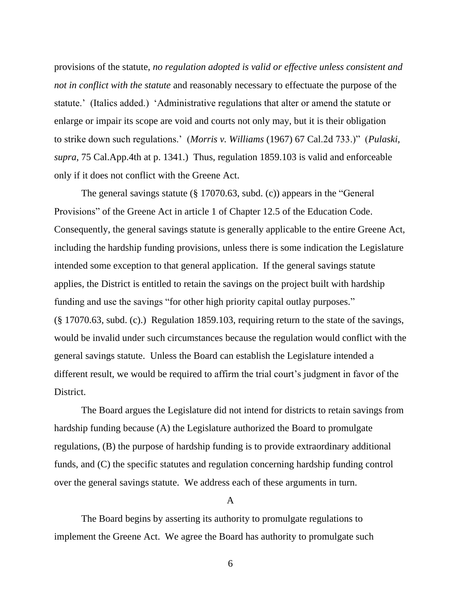provisions of the statute, *no regulation adopted is valid or effective unless consistent and not in conflict with the statute* and reasonably necessary to effectuate the purpose of the statute.' (Italics added.) 'Administrative regulations that alter or amend the statute or enlarge or impair its scope are void and courts not only may, but it is their obligation to strike down such regulations.' (*Morris v. Williams* (1967) 67 Cal.2d 733.)" (*Pulaski, supra*, 75 Cal.App.4th at p. 1341.) Thus, regulation 1859.103 is valid and enforceable only if it does not conflict with the Greene Act.

The general savings statute (§ 17070.63, subd. (c)) appears in the "General Provisions" of the Greene Act in article 1 of Chapter 12.5 of the Education Code. Consequently, the general savings statute is generally applicable to the entire Greene Act, including the hardship funding provisions, unless there is some indication the Legislature intended some exception to that general application. If the general savings statute applies, the District is entitled to retain the savings on the project built with hardship funding and use the savings "for other high priority capital outlay purposes." (§ 17070.63, subd. (c).) Regulation 1859.103, requiring return to the state of the savings, would be invalid under such circumstances because the regulation would conflict with the general savings statute. Unless the Board can establish the Legislature intended a different result, we would be required to affirm the trial court's judgment in favor of the District.

The Board argues the Legislature did not intend for districts to retain savings from hardship funding because (A) the Legislature authorized the Board to promulgate regulations, (B) the purpose of hardship funding is to provide extraordinary additional funds, and (C) the specific statutes and regulation concerning hardship funding control over the general savings statute. We address each of these arguments in turn.

#### A

The Board begins by asserting its authority to promulgate regulations to implement the Greene Act. We agree the Board has authority to promulgate such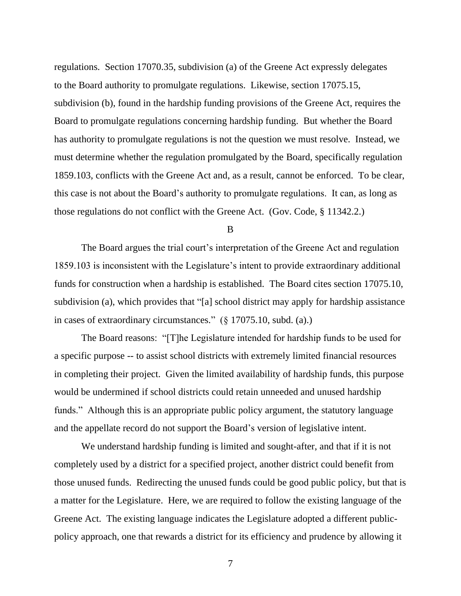regulations. Section 17070.35, subdivision (a) of the Greene Act expressly delegates to the Board authority to promulgate regulations. Likewise, section 17075.15, subdivision (b), found in the hardship funding provisions of the Greene Act, requires the Board to promulgate regulations concerning hardship funding. But whether the Board has authority to promulgate regulations is not the question we must resolve. Instead, we must determine whether the regulation promulgated by the Board, specifically regulation 1859.103, conflicts with the Greene Act and, as a result, cannot be enforced. To be clear, this case is not about the Board's authority to promulgate regulations. It can, as long as those regulations do not conflict with the Greene Act. (Gov. Code, § 11342.2.)

B

The Board argues the trial court's interpretation of the Greene Act and regulation 1859.103 is inconsistent with the Legislature's intent to provide extraordinary additional funds for construction when a hardship is established. The Board cites section 17075.10, subdivision (a), which provides that "[a] school district may apply for hardship assistance in cases of extraordinary circumstances." (§ 17075.10, subd. (a).)

The Board reasons: "[T]he Legislature intended for hardship funds to be used for a specific purpose -- to assist school districts with extremely limited financial resources in completing their project. Given the limited availability of hardship funds, this purpose would be undermined if school districts could retain unneeded and unused hardship funds." Although this is an appropriate public policy argument, the statutory language and the appellate record do not support the Board's version of legislative intent.

We understand hardship funding is limited and sought-after, and that if it is not completely used by a district for a specified project, another district could benefit from those unused funds. Redirecting the unused funds could be good public policy, but that is a matter for the Legislature. Here, we are required to follow the existing language of the Greene Act. The existing language indicates the Legislature adopted a different publicpolicy approach, one that rewards a district for its efficiency and prudence by allowing it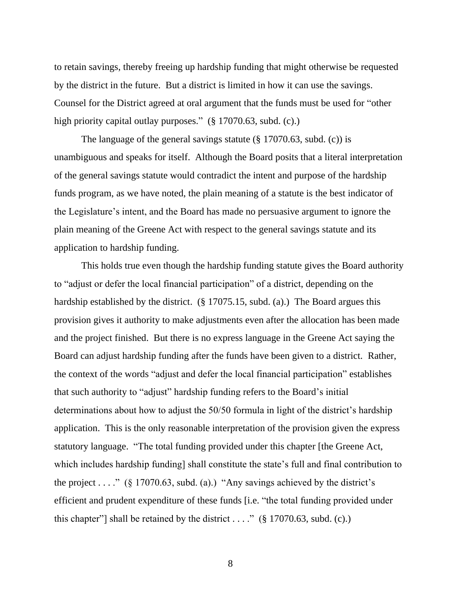to retain savings, thereby freeing up hardship funding that might otherwise be requested by the district in the future. But a district is limited in how it can use the savings. Counsel for the District agreed at oral argument that the funds must be used for "other high priority capital outlay purposes." (§ 17070.63, subd. (c).)

The language of the general savings statute (§ 17070.63, subd. (c)) is unambiguous and speaks for itself. Although the Board posits that a literal interpretation of the general savings statute would contradict the intent and purpose of the hardship funds program, as we have noted, the plain meaning of a statute is the best indicator of the Legislature's intent, and the Board has made no persuasive argument to ignore the plain meaning of the Greene Act with respect to the general savings statute and its application to hardship funding.

This holds true even though the hardship funding statute gives the Board authority to "adjust or defer the local financial participation" of a district, depending on the hardship established by the district. (§ 17075.15, subd. (a).) The Board argues this provision gives it authority to make adjustments even after the allocation has been made and the project finished. But there is no express language in the Greene Act saying the Board can adjust hardship funding after the funds have been given to a district. Rather, the context of the words "adjust and defer the local financial participation" establishes that such authority to "adjust" hardship funding refers to the Board's initial determinations about how to adjust the 50/50 formula in light of the district's hardship application. This is the only reasonable interpretation of the provision given the express statutory language. "The total funding provided under this chapter [the Greene Act, which includes hardship funding] shall constitute the state's full and final contribution to the project . . . ." ( $\S$  17070.63, subd. (a).) "Any savings achieved by the district's efficient and prudent expenditure of these funds [i.e. "the total funding provided under this chapter"] shall be retained by the district . . . ." ( $\S$  17070.63, subd. (c).)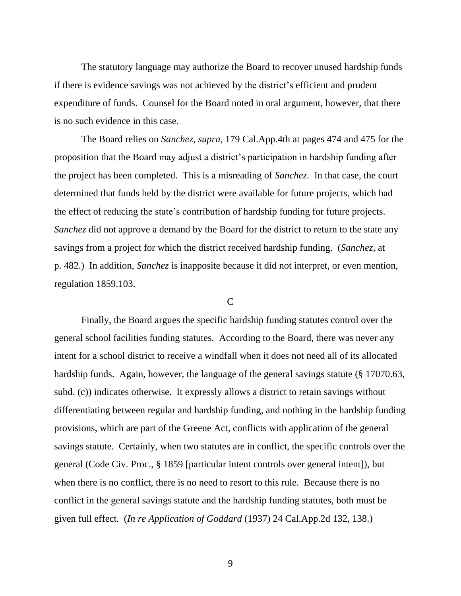The statutory language may authorize the Board to recover unused hardship funds if there is evidence savings was not achieved by the district's efficient and prudent expenditure of funds. Counsel for the Board noted in oral argument, however, that there is no such evidence in this case.

The Board relies on *Sanchez, supra*, 179 Cal.App.4th at pages 474 and 475 for the proposition that the Board may adjust a district's participation in hardship funding after the project has been completed. This is a misreading of *Sanchez*. In that case, the court determined that funds held by the district were available for future projects, which had the effect of reducing the state's contribution of hardship funding for future projects. *Sanchez* did not approve a demand by the Board for the district to return to the state any savings from a project for which the district received hardship funding. (*Sanchez,* at p. 482.) In addition, *Sanchez* is inapposite because it did not interpret, or even mention, regulation 1859.103.

#### $\mathcal{C}$

Finally, the Board argues the specific hardship funding statutes control over the general school facilities funding statutes. According to the Board, there was never any intent for a school district to receive a windfall when it does not need all of its allocated hardship funds. Again, however, the language of the general savings statute (§ 17070.63, subd. (c)) indicates otherwise. It expressly allows a district to retain savings without differentiating between regular and hardship funding, and nothing in the hardship funding provisions, which are part of the Greene Act, conflicts with application of the general savings statute. Certainly, when two statutes are in conflict, the specific controls over the general (Code Civ. Proc., § 1859 [particular intent controls over general intent]), but when there is no conflict, there is no need to resort to this rule. Because there is no conflict in the general savings statute and the hardship funding statutes, both must be given full effect. (*In re Application of Goddard* (1937) 24 Cal.App.2d 132, 138.)